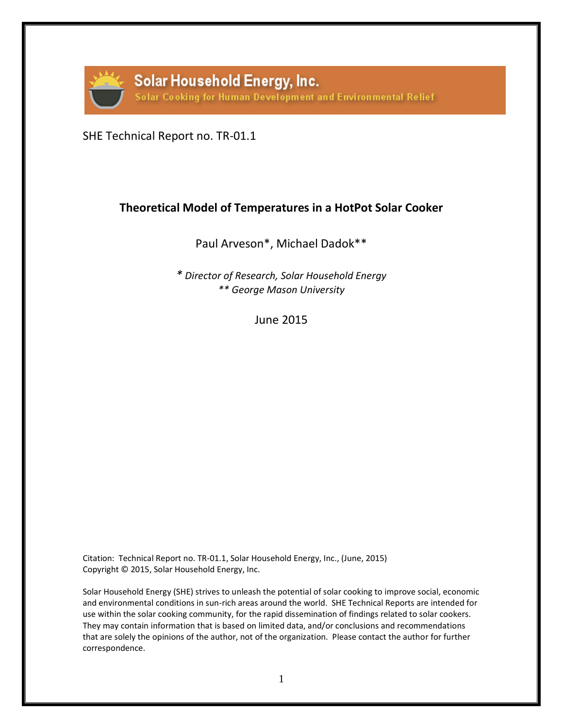

SHE Technical Report no. TR-01.1

## **Theoretical Model of Temperatures in a HotPot Solar Cooker**

Paul Arveson\*, Michael Dadok\*\*

*\* Director of Research, Solar Household Energy \*\* George Mason University*

June 2015

Citation: Technical Report no. TR-01.1, Solar Household Energy, Inc., (June, 2015) Copyright © 2015, Solar Household Energy, Inc.

Solar Household Energy (SHE) strives to unleash the potential of solar cooking to improve social, economic and environmental conditions in sun-rich areas around the world. SHE Technical Reports are intended for use within the solar cooking community, for the rapid dissemination of findings related to solar cookers. They may contain information that is based on limited data, and/or conclusions and recommendations that are solely the opinions of the author, not of the organization. Please contact the author for further correspondence.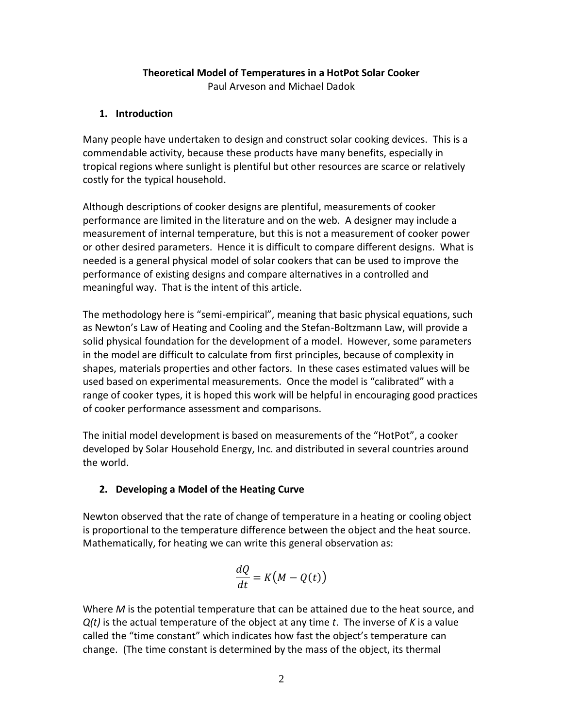## **Theoretical Model of Temperatures in a HotPot Solar Cooker**

Paul Arveson and Michael Dadok

## **1. Introduction**

Many people have undertaken to design and construct solar cooking devices. This is a commendable activity, because these products have many benefits, especially in tropical regions where sunlight is plentiful but other resources are scarce or relatively costly for the typical household.

Although descriptions of cooker designs are plentiful, measurements of cooker performance are limited in the literature and on the web. A designer may include a measurement of internal temperature, but this is not a measurement of cooker power or other desired parameters. Hence it is difficult to compare different designs. What is needed is a general physical model of solar cookers that can be used to improve the performance of existing designs and compare alternatives in a controlled and meaningful way. That is the intent of this article.

The methodology here is "semi-empirical", meaning that basic physical equations, such as Newton's Law of Heating and Cooling and the Stefan-Boltzmann Law, will provide a solid physical foundation for the development of a model. However, some parameters in the model are difficult to calculate from first principles, because of complexity in shapes, materials properties and other factors. In these cases estimated values will be used based on experimental measurements. Once the model is "calibrated" with a range of cooker types, it is hoped this work will be helpful in encouraging good practices of cooker performance assessment and comparisons.

The initial model development is based on measurements of the "HotPot", a cooker developed by Solar Household Energy, Inc. and distributed in several countries around the world.

## **2. Developing a Model of the Heating Curve**

Newton observed that the rate of change of temperature in a heating or cooling object is proportional to the temperature difference between the object and the heat source. Mathematically, for heating we can write this general observation as:

$$
\frac{dQ}{dt} = K\big(M - Q(t)\big)
$$

Where *M* is the potential temperature that can be attained due to the heat source, and *Q(t)* is the actual temperature of the object at any time *t*. The inverse of *K* is a value called the "time constant" which indicates how fast the object's temperature can change. (The time constant is determined by the mass of the object, its thermal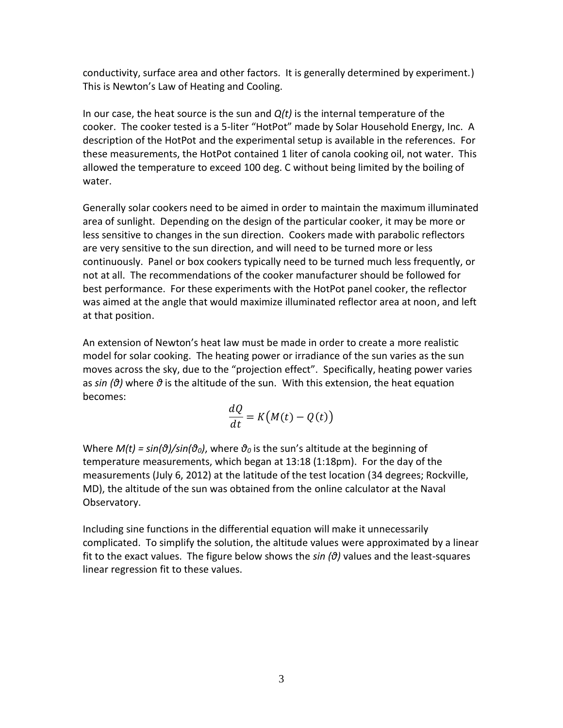conductivity, surface area and other factors. It is generally determined by experiment.) This is Newton's Law of Heating and Cooling.

In our case, the heat source is the sun and *Q(t)* is the internal temperature of the cooker. The cooker tested is a 5-liter "HotPot" made by Solar Household Energy, Inc. A description of the HotPot and the experimental setup is available in the references. For these measurements, the HotPot contained 1 liter of canola cooking oil, not water. This allowed the temperature to exceed 100 deg. C without being limited by the boiling of water.

Generally solar cookers need to be aimed in order to maintain the maximum illuminated area of sunlight. Depending on the design of the particular cooker, it may be more or less sensitive to changes in the sun direction. Cookers made with parabolic reflectors are very sensitive to the sun direction, and will need to be turned more or less continuously. Panel or box cookers typically need to be turned much less frequently, or not at all. The recommendations of the cooker manufacturer should be followed for best performance. For these experiments with the HotPot panel cooker, the reflector was aimed at the angle that would maximize illuminated reflector area at noon, and left at that position.

An extension of Newton's heat law must be made in order to create a more realistic model for solar cooking. The heating power or irradiance of the sun varies as the sun moves across the sky, due to the "projection effect". Specifically, heating power varies as *sin (θ)* where *θ* is the altitude of the sun. With this extension, the heat equation becomes:

$$
\frac{dQ}{dt} = K(M(t) - Q(t))
$$

Where *M(t) = sin(θ)/sin(θ0)*, where *θ<sup>0</sup>* is the sun's altitude at the beginning of temperature measurements, which began at 13:18 (1:18pm). For the day of the measurements (July 6, 2012) at the latitude of the test location (34 degrees; Rockville, MD), the altitude of the sun was obtained from the online calculator at the Naval Observatory.

Including sine functions in the differential equation will make it unnecessarily complicated. To simplify the solution, the altitude values were approximated by a linear fit to the exact values. The figure below shows the *sin (θ)* values and the least-squares linear regression fit to these values.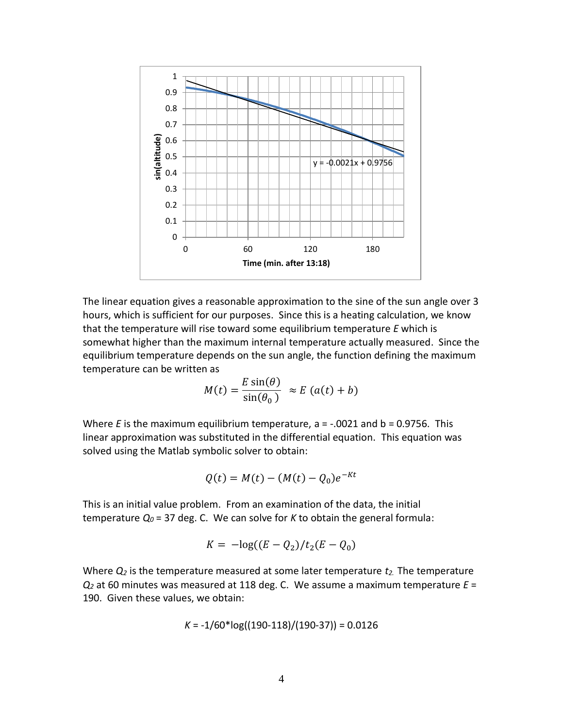

The linear equation gives a reasonable approximation to the sine of the sun angle over 3 hours, which is sufficient for our purposes. Since this is a heating calculation, we know that the temperature will rise toward some equilibrium temperature *E* which is somewhat higher than the maximum internal temperature actually measured. Since the equilibrium temperature depends on the sun angle, the function defining the maximum temperature can be written as

$$
M(t) = \frac{E \sin(\theta)}{\sin(\theta_0)} \approx E (a(t) + b)
$$

Where *E* is the maximum equilibrium temperature, a = -.0021 and b = 0.9756. This linear approximation was substituted in the differential equation. This equation was solved using the Matlab symbolic solver to obtain:

$$
Q(t) = M(t) - (M(t) - Q_0)e^{-Kt}
$$

This is an initial value problem. From an examination of the data, the initial temperature *Q<sup>0</sup>* = 37 deg. C. We can solve for *K* to obtain the general formula:

$$
K = -\log((E - Q_2)/t_2(E - Q_0))
$$

Where *Q<sup>2</sup>* is the temperature measured at some later temperature *t2.* The temperature *Q<sup>2</sup>* at 60 minutes was measured at 118 deg. C. We assume a maximum temperature *E* = 190. Given these values, we obtain:

$$
K = -1/60*log((190-118)/(190-37)) = 0.0126
$$